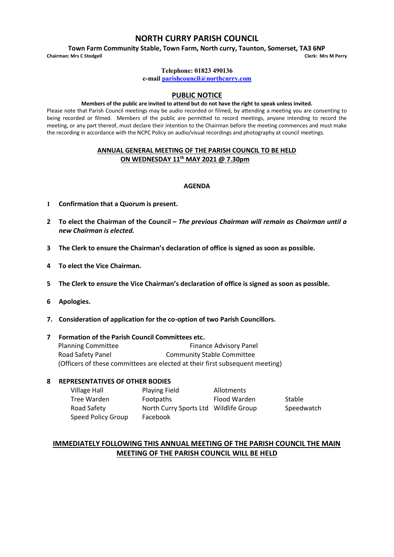# **NORTH CURRY PARISH COUNCIL**

**Town Farm Community Stable, Town Farm, North curry, Taunton, Somerset, TA3 6NP**<br>is Mrs C Stodgell Clerk: Mrs M Perry

**Chairman: Mrs C Stodgell Clerk: Mrs M Perry**

#### **Telephone: 01823 490136**

**e-mai[l parishcouncil@northcurry.com](mailto:parishcouncil@northcurry.com)**

# **PUBLIC NOTICE**

#### **Members of the public are invited to attend but do not have the right to speak unless invited.**

Please note that Parish Council meetings may be audio recorded or filmed, by attending a meeting you are consenting to being recorded or filmed. Members of the public are permitted to record meetings, anyone intending to record the meeting, or any part thereof, must declare their intention to the Chairman before the meeting commences and must make the recording in accordance with the NCPC Policy on audio/visual recordings and photography at council meetings.

### **ANNUAL GENERAL MEETING OF THE PARISH COUNCIL TO BE HELD ON WEDNESDAY 11th MAY 2021 @ 7.30pm**

### **AGENDA**

- **1 Confirmation that a Quorum is present.**
- **2 To elect the Chairman of the Council –** *The previous Chairman will remain as Chairman until a new Chairman is elected.*
- **3 The Clerk to ensure the Chairman's declaration of office is signed as soon as possible.**
- **4 To elect the Vice Chairman.**
- **5 The Clerk to ensure the Vice Chairman's declaration of office is signed as soon as possible.**
- **6 Apologies.**
- **7. Consideration of application for the co-option of two Parish Councillors.**

### **7 Formation of the Parish Council Committees etc.**

Planning Committee Finance Advisory Panel Road Safety Panel **Community Stable Committee** (Officers of these committees are elected at their first subsequent meeting)

#### **8 REPRESENTATIVES OF OTHER BODIES**

| Village Hall       | <b>Playing Field</b>                  | Allotments   |            |
|--------------------|---------------------------------------|--------------|------------|
| Tree Warden        | Footpaths                             | Flood Warden | Stable     |
| Road Safety        | North Curry Sports Ltd Wildlife Group |              | Speedwatch |
| Speed Policy Group | Facebook                              |              |            |

# **IMMEDIATELY FOLLOWING THIS ANNUAL MEETING OF THE PARISH COUNCIL THE MAIN MEETING OF THE PARISH COUNCIL WILL BE HELD**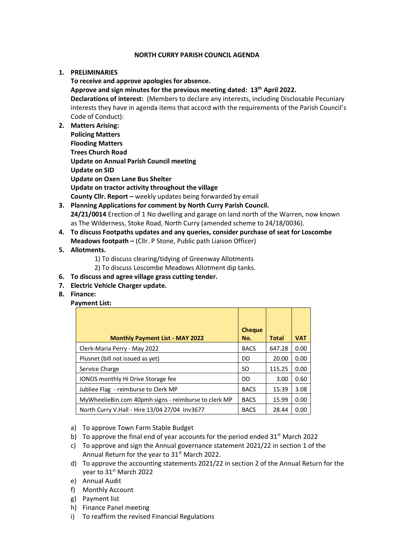### **NORTH CURRY PARISH COUNCIL AGENDA**

## **1. PRELIMINARIES**

**To receive and approve apologies for absence. Approve and sign minutes for the previous meeting dated: 13th April 2022. Declarations of interest:** (Members to declare any interests, including Disclosable Pecuniary interests they have in agenda items that accord with the requirements of the Parish Council's Code of Conduct):

- **2. Matters Arising: Policing Matters Flooding Matters Trees Church Road Update on Annual Parish Council meeting Update on SID Update on Oxen Lane Bus Shelter Update on tractor activity throughout the village County Cllr. Report –** weekly updates being forwarded by email
- **3. Planning Applications for comment by North Curry Parish Council. 24/21/0014** Erection of 1 No dwelling and garage on land north of the Warren, now known as The Wilderness, Stoke Road, North Curry (amended scheme to 24/18/0036).
- **4. To discuss Footpaths updates and any queries, consider purchase of seat for Loscombe Meadows footpath –** (Cllr. P Stone, Public path Liaison Officer)
- **5. Allotments.**
	- 1) To discuss clearing/tidying of Greenway Allotments
	- 2) To discuss Loscombe Meadows Allotment dip tanks.
- **6. To discuss and agree village grass cutting tender.**
- **7. Electric Vehicle Charger update.**
- **8. Finance:**

### **Payment List:**

| <b>Cheque</b> |        |            |
|---------------|--------|------------|
| No.           | Total  | <b>VAT</b> |
| <b>BACS</b>   | 647.28 | 0.00       |
| DD            | 20.00  | 0.00       |
| SO.           | 115.25 | 0.00       |
| DD            | 3.00   | 0.60       |
| <b>BACS</b>   | 15.39  | 3.08       |
| <b>BACS</b>   | 15.99  | 0.00       |
| <b>BACS</b>   | 28.44  | 0.00       |
|               |        |            |

- a) To approve Town Farm Stable Budget
- b) To approve the final end of year accounts for the period ended  $31^{st}$  March 2022
- c) To approve and sign the Annual governance statement 2021/22 in section 1 of the Annual Return for the year to 31<sup>st</sup> March 2022.
- d) To approve the accounting statements 2021/22 in section 2 of the Annual Return for the year to 31st March 2022
- e) Annual Audit
- f) Monthly Account
- g) Payment list
- h) Finance Panel meeting
- i) To reaffirm the revised Financial Regulations